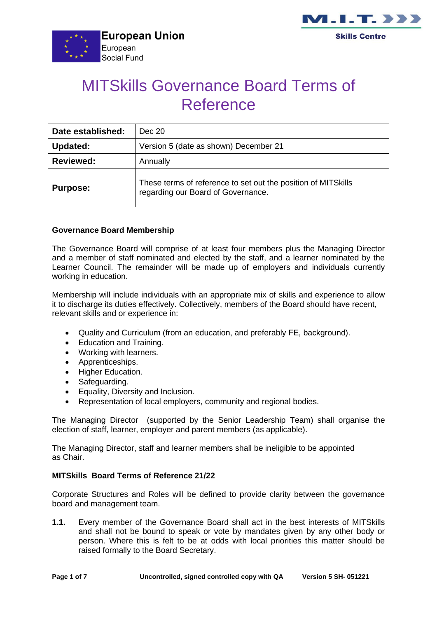



# MITSkills Governance Board Terms of Reference

| Date established: | Dec 20                                                                                              |  |
|-------------------|-----------------------------------------------------------------------------------------------------|--|
| <b>Updated:</b>   | Version 5 (date as shown) December 21                                                               |  |
| <b>Reviewed:</b>  | Annually                                                                                            |  |
| <b>Purpose:</b>   | These terms of reference to set out the position of MITSkills<br>regarding our Board of Governance. |  |

# **Governance Board Membership**

The Governance Board will comprise of at least four members plus the Managing Director and a member of staff nominated and elected by the staff, and a learner nominated by the Learner Council. The remainder will be made up of employers and individuals currently working in education.

Membership will include individuals with an appropriate mix of skills and experience to allow it to discharge its duties effectively. Collectively, members of the Board should have recent, relevant skills and or experience in:

- Quality and Curriculum (from an education, and preferably FE, background).
- Education and Training.
- Working with learners.
- Apprenticeships.
- Higher Education.
- Safeguarding.
- Equality, Diversity and Inclusion.
- Representation of local employers, community and regional bodies.

The Managing Director (supported by the Senior Leadership Team) shall organise the election of staff, learner, employer and parent members (as applicable).

The Managing Director, staff and learner members shall be ineligible to be appointed as Chair.

#### **MITSkills Board Terms of Reference 21/22**

Corporate Structures and Roles will be defined to provide clarity between the governance board and management team.

**1.1.** Every member of the Governance Board shall act in the best interests of MITSkills and shall not be bound to speak or vote by mandates given by any other body or person. Where this is felt to be at odds with local priorities this matter should be raised formally to the Board Secretary.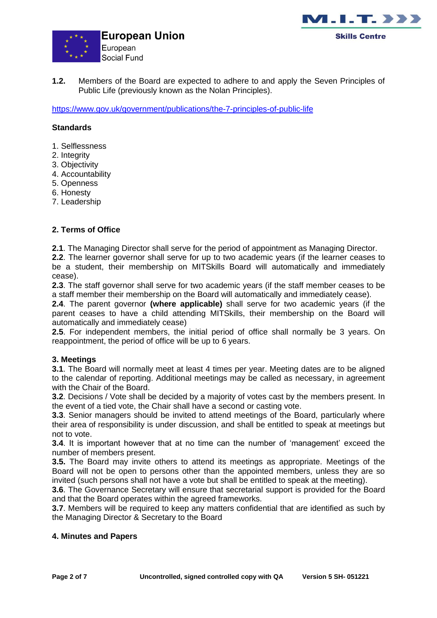



**1.2.** Members of the Board are expected to adhere to and apply the Seven Principles of Public Life (previously known as the Nolan Principles).

<https://www.gov.uk/government/publications/the-7-principles-of-public-life>

#### **Standards**

- 1. Selflessness
- 2. Integrity
- 3. Objectivity
- 4. Accountability
- 5. Openness
- 6. Honesty
- 7. Leadership

#### **2. Terms of Office**

**2.1**. The Managing Director shall serve for the period of appointment as Managing Director.

**2.2**. The learner governor shall serve for up to two academic years (if the learner ceases to be a student, their membership on MITSkills Board will automatically and immediately cease).

**2.3**. The staff governor shall serve for two academic years (if the staff member ceases to be a staff member their membership on the Board will automatically and immediately cease).

**2.4**. The parent governor **(where applicable)** shall serve for two academic years (if the parent ceases to have a child attending MITSkills, their membership on the Board will automatically and immediately cease)

**2.5**. For independent members, the initial period of office shall normally be 3 years. On reappointment, the period of office will be up to 6 years.

#### **3. Meetings**

**3.1**. The Board will normally meet at least 4 times per year. Meeting dates are to be aligned to the calendar of reporting. Additional meetings may be called as necessary, in agreement with the Chair of the Board.

**3.2**. Decisions / Vote shall be decided by a majority of votes cast by the members present. In the event of a tied vote, the Chair shall have a second or casting vote.

**3.3**. Senior managers should be invited to attend meetings of the Board, particularly where their area of responsibility is under discussion, and shall be entitled to speak at meetings but not to vote.

**3.4**. It is important however that at no time can the number of 'management' exceed the number of members present.

**3.5.** The Board may invite others to attend its meetings as appropriate. Meetings of the Board will not be open to persons other than the appointed members, unless they are so invited (such persons shall not have a vote but shall be entitled to speak at the meeting).

**3.6**. The Governance Secretary will ensure that secretarial support is provided for the Board and that the Board operates within the agreed frameworks.

**3.7**. Members will be required to keep any matters confidential that are identified as such by the Managing Director & Secretary to the Board

#### **4. Minutes and Papers**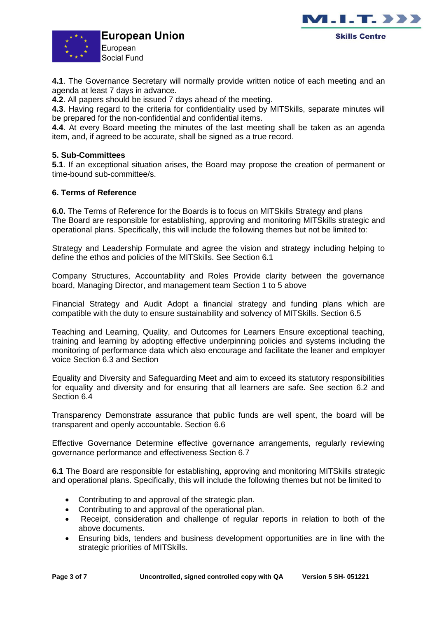



**4.1**. The Governance Secretary will normally provide written notice of each meeting and an agenda at least 7 days in advance.

**4.2**. All papers should be issued 7 days ahead of the meeting.

**4.3**. Having regard to the criteria for confidentiality used by MITSkills, separate minutes will be prepared for the non-confidential and confidential items.

**4.4**. At every Board meeting the minutes of the last meeting shall be taken as an agenda item, and, if agreed to be accurate, shall be signed as a true record.

## **5. Sub-Committees**

**5.1**. If an exceptional situation arises, the Board may propose the creation of permanent or time-bound sub-committee/s.

## **6. Terms of Reference**

**6.0.** The Terms of Reference for the Boards is to focus on MITSkills Strategy and plans The Board are responsible for establishing, approving and monitoring MITSkills strategic and operational plans. Specifically, this will include the following themes but not be limited to:

Strategy and Leadership Formulate and agree the vision and strategy including helping to define the ethos and policies of the MITSkills. See Section 6.1

Company Structures, Accountability and Roles Provide clarity between the governance board, Managing Director, and management team Section 1 to 5 above

Financial Strategy and Audit Adopt a financial strategy and funding plans which are compatible with the duty to ensure sustainability and solvency of MITSkills. Section 6.5

Teaching and Learning, Quality, and Outcomes for Learners Ensure exceptional teaching, training and learning by adopting effective underpinning policies and systems including the monitoring of performance data which also encourage and facilitate the leaner and employer voice Section 6.3 and Section

Equality and Diversity and Safeguarding Meet and aim to exceed its statutory responsibilities for equality and diversity and for ensuring that all learners are safe. See section 6.2 and Section 6.4

Transparency Demonstrate assurance that public funds are well spent, the board will be transparent and openly accountable. Section 6.6

Effective Governance Determine effective governance arrangements, regularly reviewing governance performance and effectiveness Section 6.7

**6.1** The Board are responsible for establishing, approving and monitoring MITSkills strategic and operational plans. Specifically, this will include the following themes but not be limited to

- Contributing to and approval of the strategic plan.
- Contributing to and approval of the operational plan.
- Receipt, consideration and challenge of regular reports in relation to both of the above documents.
- Ensuring bids, tenders and business development opportunities are in line with the strategic priorities of MITSkills.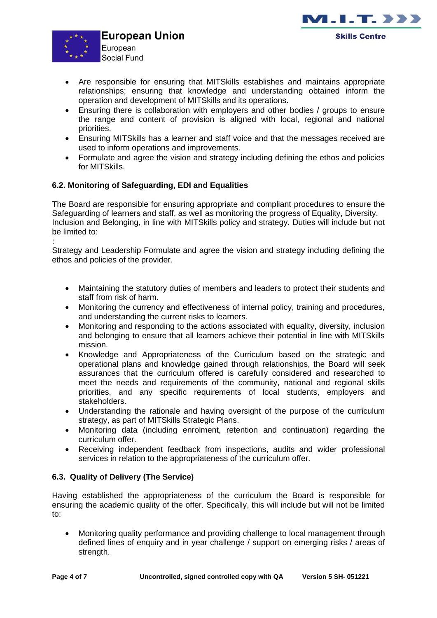



- Are responsible for ensuring that MITSkills establishes and maintains appropriate relationships; ensuring that knowledge and understanding obtained inform the operation and development of MITSkills and its operations.
- Ensuring there is collaboration with employers and other bodies / groups to ensure the range and content of provision is aligned with local, regional and national priorities.
- Ensuring MITSkills has a learner and staff voice and that the messages received are used to inform operations and improvements.
- Formulate and agree the vision and strategy including defining the ethos and policies for MITSkills.

# **6.2. Monitoring of Safeguarding, EDI and Equalities**

The Board are responsible for ensuring appropriate and compliant procedures to ensure the Safeguarding of learners and staff, as well as monitoring the progress of Equality, Diversity, Inclusion and Belonging, in line with MITSkills policy and strategy. Duties will include but not be limited to:

: Strategy and Leadership Formulate and agree the vision and strategy including defining the ethos and policies of the provider.

- Maintaining the statutory duties of members and leaders to protect their students and staff from risk of harm.
- Monitoring the currency and effectiveness of internal policy, training and procedures, and understanding the current risks to learners.
- Monitoring and responding to the actions associated with equality, diversity, inclusion and belonging to ensure that all learners achieve their potential in line with MITSkills mission.
- Knowledge and Appropriateness of the Curriculum based on the strategic and operational plans and knowledge gained through relationships, the Board will seek assurances that the curriculum offered is carefully considered and researched to meet the needs and requirements of the community, national and regional skills priorities, and any specific requirements of local students, employers and stakeholders.
- Understanding the rationale and having oversight of the purpose of the curriculum strategy, as part of MITSkills Strategic Plans.
- Monitoring data (including enrolment, retention and continuation) regarding the curriculum offer.
- Receiving independent feedback from inspections, audits and wider professional services in relation to the appropriateness of the curriculum offer.

# **6.3. Quality of Delivery (The Service)**

Having established the appropriateness of the curriculum the Board is responsible for ensuring the academic quality of the offer. Specifically, this will include but will not be limited to:

• Monitoring quality performance and providing challenge to local management through defined lines of enquiry and in year challenge / support on emerging risks / areas of strength.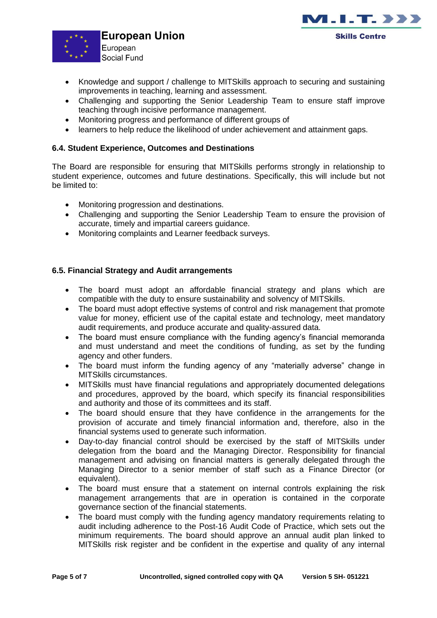



- Knowledge and support / challenge to MITSkills approach to securing and sustaining improvements in teaching, learning and assessment.
- Challenging and supporting the Senior Leadership Team to ensure staff improve teaching through incisive performance management.
- Monitoring progress and performance of different groups of
- learners to help reduce the likelihood of under achievement and attainment gaps.

## **6.4. Student Experience, Outcomes and Destinations**

The Board are responsible for ensuring that MITSkills performs strongly in relationship to student experience, outcomes and future destinations. Specifically, this will include but not be limited to:

- Monitoring progression and destinations.
- Challenging and supporting the Senior Leadership Team to ensure the provision of accurate, timely and impartial careers guidance.
- Monitoring complaints and Learner feedback surveys.

## **6.5. Financial Strategy and Audit arrangements**

- The board must adopt an affordable financial strategy and plans which are compatible with the duty to ensure sustainability and solvency of MITSkills.
- The board must adopt effective systems of control and risk management that promote value for money, efficient use of the capital estate and technology, meet mandatory audit requirements, and produce accurate and quality-assured data.
- The board must ensure compliance with the funding agency's financial memoranda and must understand and meet the conditions of funding, as set by the funding agency and other funders.
- The board must inform the funding agency of any "materially adverse" change in MITSkills circumstances.
- MITSkills must have financial regulations and appropriately documented delegations and procedures, approved by the board, which specify its financial responsibilities and authority and those of its committees and its staff.
- The board should ensure that they have confidence in the arrangements for the provision of accurate and timely financial information and, therefore, also in the financial systems used to generate such information.
- Day-to-day financial control should be exercised by the staff of MITSkills under delegation from the board and the Managing Director. Responsibility for financial management and advising on financial matters is generally delegated through the Managing Director to a senior member of staff such as a Finance Director (or equivalent).
- The board must ensure that a statement on internal controls explaining the risk management arrangements that are in operation is contained in the corporate governance section of the financial statements.
- The board must comply with the funding agency mandatory requirements relating to audit including adherence to the Post-16 Audit Code of Practice, which sets out the minimum requirements. The board should approve an annual audit plan linked to MITSkills risk register and be confident in the expertise and quality of any internal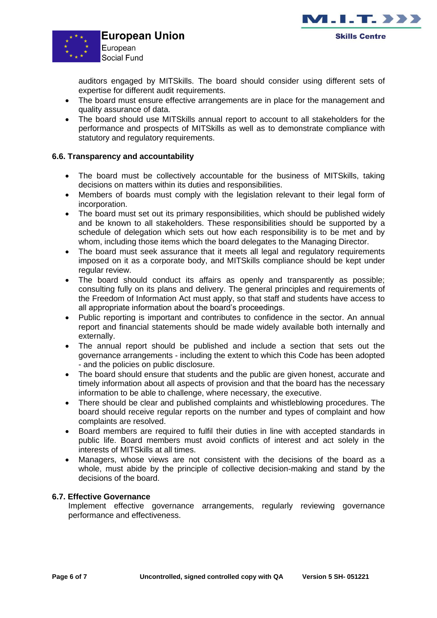



auditors engaged by MITSkills. The board should consider using different sets of expertise for different audit requirements.

- The board must ensure effective arrangements are in place for the management and quality assurance of data.
- The board should use MITSkills annual report to account to all stakeholders for the performance and prospects of MITSkills as well as to demonstrate compliance with statutory and regulatory requirements.

## **6.6. Transparency and accountability**

- The board must be collectively accountable for the business of MITSkills, taking decisions on matters within its duties and responsibilities.
- Members of boards must comply with the legislation relevant to their legal form of incorporation.
- The board must set out its primary responsibilities, which should be published widely and be known to all stakeholders. These responsibilities should be supported by a schedule of delegation which sets out how each responsibility is to be met and by whom, including those items which the board delegates to the Managing Director.
- The board must seek assurance that it meets all legal and regulatory requirements imposed on it as a corporate body, and MITSkills compliance should be kept under regular review.
- The board should conduct its affairs as openly and transparently as possible; consulting fully on its plans and delivery. The general principles and requirements of the Freedom of Information Act must apply, so that staff and students have access to all appropriate information about the board's proceedings.
- Public reporting is important and contributes to confidence in the sector. An annual report and financial statements should be made widely available both internally and externally.
- The annual report should be published and include a section that sets out the governance arrangements - including the extent to which this Code has been adopted - and the policies on public disclosure.
- The board should ensure that students and the public are given honest, accurate and timely information about all aspects of provision and that the board has the necessary information to be able to challenge, where necessary, the executive.
- There should be clear and published complaints and whistleblowing procedures. The board should receive regular reports on the number and types of complaint and how complaints are resolved.
- Board members are required to fulfil their duties in line with accepted standards in public life. Board members must avoid conflicts of interest and act solely in the interests of MITSkills at all times.
- Managers, whose views are not consistent with the decisions of the board as a whole, must abide by the principle of collective decision-making and stand by the decisions of the board.

# **6.7. Effective Governance**

Implement effective governance arrangements, regularly reviewing governance performance and effectiveness.